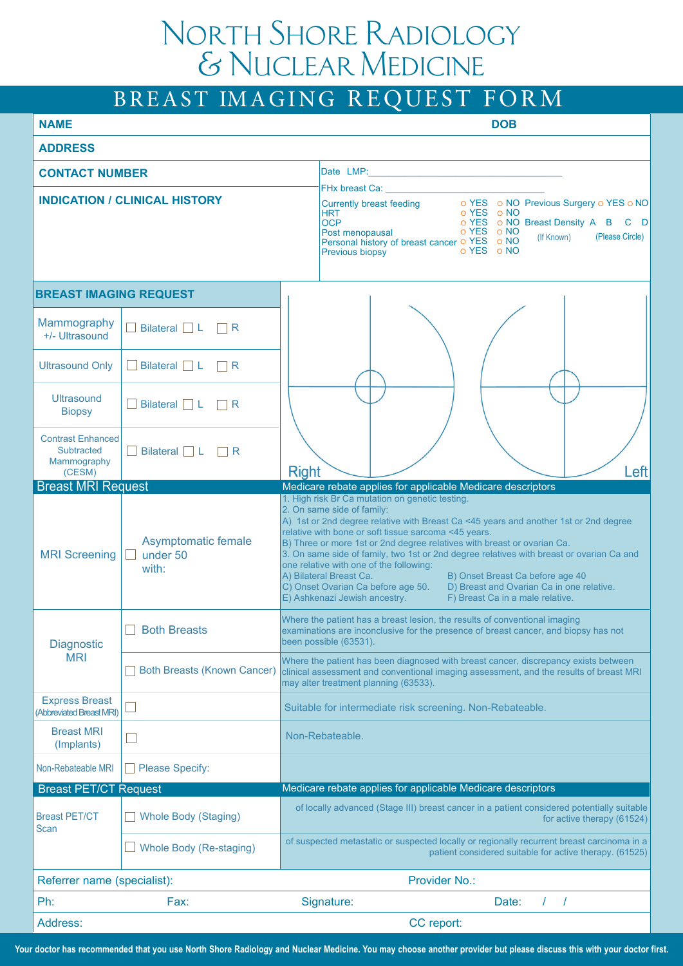## North Shore Radiology  $&$  Nuclear Medicine

|                                                                 |                                          | BREAST IMAGING REQUEST FORM                                                                                                                                                                                                                                                                                                                                                                                                                                                                                                                                                                                                                                            |  |  |
|-----------------------------------------------------------------|------------------------------------------|------------------------------------------------------------------------------------------------------------------------------------------------------------------------------------------------------------------------------------------------------------------------------------------------------------------------------------------------------------------------------------------------------------------------------------------------------------------------------------------------------------------------------------------------------------------------------------------------------------------------------------------------------------------------|--|--|
| <b>NAME</b>                                                     |                                          | <b>DOB</b>                                                                                                                                                                                                                                                                                                                                                                                                                                                                                                                                                                                                                                                             |  |  |
| <b>ADDRESS</b>                                                  |                                          |                                                                                                                                                                                                                                                                                                                                                                                                                                                                                                                                                                                                                                                                        |  |  |
| <b>CONTACT NUMBER</b>                                           |                                          |                                                                                                                                                                                                                                                                                                                                                                                                                                                                                                                                                                                                                                                                        |  |  |
| <b>INDICATION / CLINICAL HISTORY</b>                            |                                          | FHx breast Ca: <b>Example 2014</b><br>Currently breast feeding o YES o NO Previous Surgery o YES o NO<br>o YES o NO<br><b>HRT</b><br><b>OCP</b><br>o YES o NO Breast Density A B C D<br>Post menopausal<br>o YES o NO<br>(Please Circle)<br>(If Known)<br>Personal history of breast cancer o YES o NO<br>o YES o NO<br>Previous biopsy                                                                                                                                                                                                                                                                                                                                |  |  |
| <b>BREAST IMAGING REQUEST</b>                                   |                                          |                                                                                                                                                                                                                                                                                                                                                                                                                                                                                                                                                                                                                                                                        |  |  |
| Mammography<br>+/- Ultrasound                                   | Bilateral $\Box L$ $\Box R$              |                                                                                                                                                                                                                                                                                                                                                                                                                                                                                                                                                                                                                                                                        |  |  |
| <b>Ultrasound Only</b>                                          | Bilateral $\Box$ L $\Box$ R              |                                                                                                                                                                                                                                                                                                                                                                                                                                                                                                                                                                                                                                                                        |  |  |
| <b>Ultrasound</b><br><b>Biopsy</b>                              | Bilateral $\Box$ L $\Box$ R              |                                                                                                                                                                                                                                                                                                                                                                                                                                                                                                                                                                                                                                                                        |  |  |
| <b>Contrast Enhanced</b><br>Subtracted<br>Mammography<br>(CESM) | $\Box$ Bilateral $\Box$ L $\Box$ R       | Left<br><b>Right</b>                                                                                                                                                                                                                                                                                                                                                                                                                                                                                                                                                                                                                                                   |  |  |
| <b>Breast MRI Request</b>                                       |                                          | Medicare rebate applies for applicable Medicare descriptors                                                                                                                                                                                                                                                                                                                                                                                                                                                                                                                                                                                                            |  |  |
| <b>MRI</b> Screening                                            | Asymptomatic female<br>under 50<br>with: | 1. High risk Br Ca mutation on genetic testing.<br>2. On same side of family:<br>A) 1st or 2nd degree relative with Breast Ca <45 years and another 1st or 2nd degree<br>relative with bone or soft tissue sarcoma <45 years.<br>B) Three or more 1st or 2nd degree relatives with breast or ovarian Ca.<br>3. On same side of family, two 1st or 2nd degree relatives with breast or ovarian Ca and<br>one relative with one of the following:<br>A) Bilateral Breast Ca.<br>B) Onset Breast Ca before age 40<br>C) Onset Ovarian Ca before age 50.<br>D) Breast and Ovarian Ca in one relative.<br>E) Ashkenazi Jewish ancestry.<br>F) Breast Ca in a male relative. |  |  |
| <b>Diagnostic</b><br><b>MRI</b>                                 | <b>Both Breasts</b>                      | Where the patient has a breast lesion, the results of conventional imaging<br>examinations are inconclusive for the presence of breast cancer, and biopsy has not<br>been possible (63531).                                                                                                                                                                                                                                                                                                                                                                                                                                                                            |  |  |
|                                                                 | <b>Both Breasts (Known Cancer)</b>       | Where the patient has been diagnosed with breast cancer, discrepancy exists between<br>clinical assessment and conventional imaging assessment, and the results of breast MRI<br>may alter treatment planning (63533).                                                                                                                                                                                                                                                                                                                                                                                                                                                 |  |  |
| <b>Express Breast</b><br>(Abbreviated Breast MRI)               |                                          | Suitable for intermediate risk screening. Non-Rebateable.                                                                                                                                                                                                                                                                                                                                                                                                                                                                                                                                                                                                              |  |  |
| <b>Breast MRI</b><br>(Implants)                                 |                                          | Non-Rebateable.                                                                                                                                                                                                                                                                                                                                                                                                                                                                                                                                                                                                                                                        |  |  |
| Non-Rebateable MRI                                              | <b>Please Specify:</b>                   |                                                                                                                                                                                                                                                                                                                                                                                                                                                                                                                                                                                                                                                                        |  |  |
| <b>Breast PET/CT Request</b>                                    |                                          | Medicare rebate applies for applicable Medicare descriptors                                                                                                                                                                                                                                                                                                                                                                                                                                                                                                                                                                                                            |  |  |
| <b>Breast PET/CT</b><br><b>Scan</b>                             | <b>Whole Body (Staging)</b>              | of locally advanced (Stage III) breast cancer in a patient considered potentially suitable<br>for active therapy (61524)                                                                                                                                                                                                                                                                                                                                                                                                                                                                                                                                               |  |  |
|                                                                 | Whole Body (Re-staging)                  | of suspected metastatic or suspected locally or regionally recurrent breast carcinoma in a<br>patient considered suitable for active therapy. (61525)                                                                                                                                                                                                                                                                                                                                                                                                                                                                                                                  |  |  |
| Referrer name (specialist):                                     |                                          | Provider No.:                                                                                                                                                                                                                                                                                                                                                                                                                                                                                                                                                                                                                                                          |  |  |
| Ph:                                                             | Fax:                                     | Signature:<br>Date:<br>$\prime$                                                                                                                                                                                                                                                                                                                                                                                                                                                                                                                                                                                                                                        |  |  |
| Address:                                                        |                                          | CC report:                                                                                                                                                                                                                                                                                                                                                                                                                                                                                                                                                                                                                                                             |  |  |